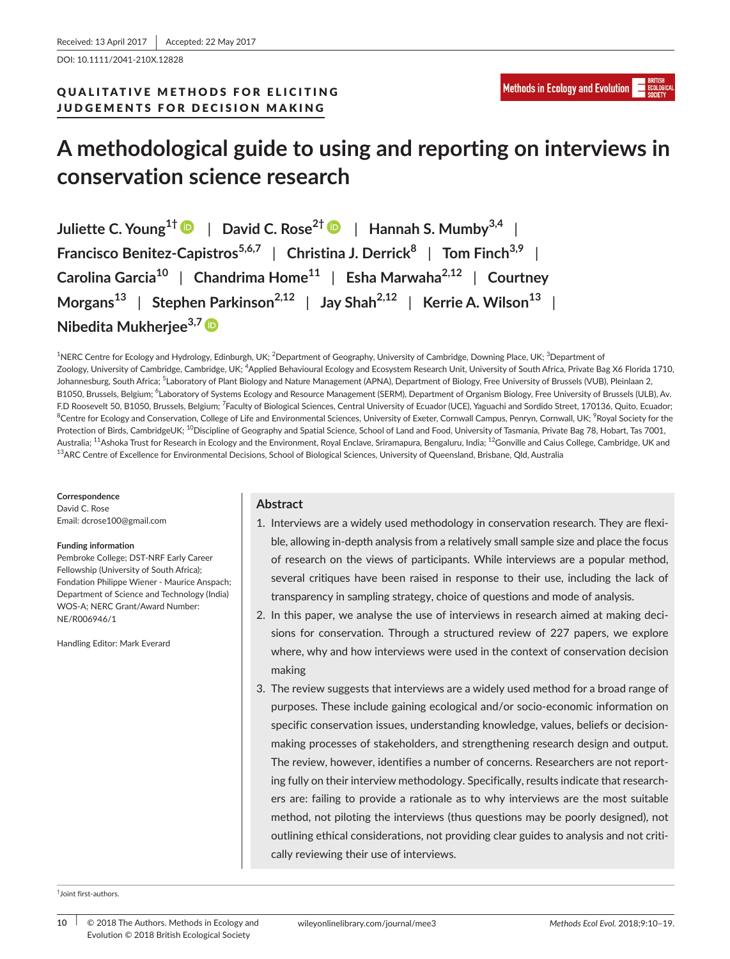DOI: 10.1111/2041-210X.12828

# QUALITATIVE METHODS FOR ELICITING JUDGEMENTS FOR DECISION MAKING

# **A methodological guide to using and reporting on interviews in conservation science research**

**Juliette C. Young1†** | **David C. Rose2†** | **Hannah S. Mumby3,4** | **Francisco Benitez-Capistros5,6,7** | **Christina J. Derrick<sup>8</sup>** | **Tom Finch3,9** | **Carolina Garcia<sup>10</sup>** | **Chandrima Home<sup>11</sup>** | **Esha Marwaha2,12** | **Courtney Morgans<sup>13</sup>** | **Stephen Parkinson2,12** | **Jay Shah2,12** | **Kerrie A. Wilson<sup>13</sup>** | **Nibedita Mukherjee3,7**

<sup>1</sup>NERC Centre for Ecology and Hydrology, Edinburgh, UK; <sup>2</sup>Department of Geography, University of Cambridge, Downing Place, UK; <sup>3</sup>Department of Zoology, University of Cambridge, Cambridge, UK; <sup>4</sup>Applied Behavioural Ecology and Ecosystem Research Unit, University of South Africa, Private Bag X6 Florida 1710, Johannesburg, South Africa; <sup>5</sup>Laboratory of Plant Biology and Nature Management (APNA), Department of Biology, Free University of Brussels (VUB), Pleinlaan 2, B1050, Brussels, Belgium; <sup>6</sup>Laboratory of Systems Ecology and Resource Management (SERM), Department of Organism Biology, Free University of Brussels (ULB), Av. F.D Roosevelt 50, B1050, Brussels, Belgium; <sup>7</sup>Faculty of Biological Sciences, Central University of Ecuador (UCE), Yaguachi and Sordido Street, 170136, Quito, Ecuador;  $^8$ Centre for Ecology and Conservation, College of Life and Environmental Sciences, University of Exeter, Cornwall Campus, Penryn, Cornwall, UK;  $^9$ Royal Society for the Protection of Birds, CambridgeUK; <sup>10</sup>Discipline of Geography and Spatial Science, School of Land and Food, University of Tasmania, Private Bag 78, Hobart, Tas 7001, Australia; <sup>11</sup>Ashoka Trust for Research in Ecology and the Environment, Royal Enclave, Sriramapura, Bengaluru, India; <sup>12</sup>Gonville and Caius College, Cambridge, UK and <sup>13</sup>ARC Centre of Excellence for Environmental Decisions, School of Biological Sciences, University of Queensland, Brisbane, Qld, Australia

#### **Correspondence**

David C. Rose Email: [dcrose100@gmail.com](mailto:dcrose100@gmail.com)

#### **Funding information**

Pembroke College; DST-NRF Early Career Fellowship (University of South Africa); Fondation Philippe Wiener - Maurice Anspach; Department of Science and Technology (India) WOS-A; NERC Grant/Award Number: NE/R006946/1

Handling Editor: Mark Everard

### **Abstract**

- 1. Interviews are a widely used methodology in conservation research. They are flexible, allowing in-depth analysis from a relatively small sample size and place the focus of research on the views of participants. While interviews are a popular method, several critiques have been raised in response to their use, including the lack of transparency in sampling strategy, choice of questions and mode of analysis.
- 2. In this paper, we analyse the use of interviews in research aimed at making decisions for conservation. Through a structured review of 227 papers, we explore where, why and how interviews were used in the context of conservation decision making
- 3. The review suggests that interviews are a widely used method for a broad range of purposes. These include gaining ecological and/or socio-economic information on specific conservation issues, understanding knowledge, values, beliefs or decisionmaking processes of stakeholders, and strengthening research design and output. The review, however, identifies a number of concerns. Researchers are not reporting fully on their interview methodology. Specifically, results indicate that researchers are: failing to provide a rationale as to why interviews are the most suitable method, not piloting the interviews (thus questions may be poorly designed), not outlining ethical considerations, not providing clear guides to analysis and not critically reviewing their use of interviews.

† Joint first-authors.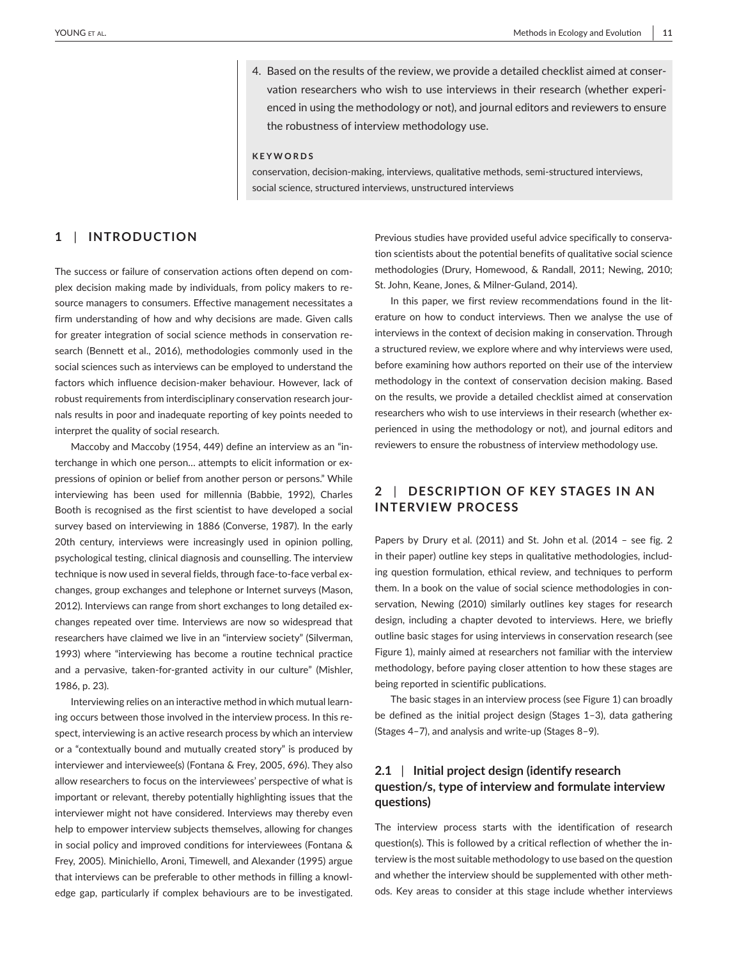4. Based on the results of the review, we provide a detailed checklist aimed at conservation researchers who wish to use interviews in their research (whether experienced in using the methodology or not), and journal editors and reviewers to ensure the robustness of interview methodology use.

#### **KEYWORDS**

conservation, decision-making, interviews, qualitative methods, semi-structured interviews, social science, structured interviews, unstructured interviews

### **1** | **INTRODUCTION**

The success or failure of conservation actions often depend on complex decision making made by individuals, from policy makers to resource managers to consumers. Effective management necessitates a firm understanding of how and why decisions are made. Given calls for greater integration of social science methods in conservation research (Bennett et al., 2016), methodologies commonly used in the social sciences such as interviews can be employed to understand the factors which influence decision-maker behaviour. However, lack of robust requirements from interdisciplinary conservation research journals results in poor and inadequate reporting of key points needed to interpret the quality of social research.

Maccoby and Maccoby (1954, 449) define an interview as an "interchange in which one person… attempts to elicit information or expressions of opinion or belief from another person or persons." While interviewing has been used for millennia (Babbie, 1992), Charles Booth is recognised as the first scientist to have developed a social survey based on interviewing in 1886 (Converse, 1987). In the early 20th century, interviews were increasingly used in opinion polling, psychological testing, clinical diagnosis and counselling. The interview technique is now used in several fields, through face-to-face verbal exchanges, group exchanges and telephone or Internet surveys (Mason, 2012). Interviews can range from short exchanges to long detailed exchanges repeated over time. Interviews are now so widespread that researchers have claimed we live in an "interview society" (Silverman, 1993) where "interviewing has become a routine technical practice and a pervasive, taken-for-granted activity in our culture" (Mishler, 1986, p. 23).

Interviewing relies on an interactive method in which mutual learning occurs between those involved in the interview process. In this respect, interviewing is an active research process by which an interview or a "contextually bound and mutually created story" is produced by interviewer and interviewee(s) (Fontana & Frey, 2005, 696). They also allow researchers to focus on the interviewees' perspective of what is important or relevant, thereby potentially highlighting issues that the interviewer might not have considered. Interviews may thereby even help to empower interview subjects themselves, allowing for changes in social policy and improved conditions for interviewees (Fontana & Frey, 2005). Minichiello, Aroni, Timewell, and Alexander (1995) argue that interviews can be preferable to other methods in filling a knowledge gap, particularly if complex behaviours are to be investigated.

Previous studies have provided useful advice specifically to conservation scientists about the potential benefits of qualitative social science methodologies (Drury, Homewood, & Randall, 2011; Newing, 2010; St. John, Keane, Jones, & Milner-Guland, 2014).

In this paper, we first review recommendations found in the literature on how to conduct interviews. Then we analyse the use of interviews in the context of decision making in conservation. Through a structured review, we explore where and why interviews were used, before examining how authors reported on their use of the interview methodology in the context of conservation decision making. Based on the results, we provide a detailed checklist aimed at conservation researchers who wish to use interviews in their research (whether experienced in using the methodology or not), and journal editors and reviewers to ensure the robustness of interview methodology use.

# **2** | **DESCRIPTION OF KEY STAGES IN AN INTERVIEW PROCESS**

Papers by Drury et al. (2011) and St. John et al. (2014 – see fig. 2 in their paper) outline key steps in qualitative methodologies, including question formulation, ethical review, and techniques to perform them. In a book on the value of social science methodologies in conservation, Newing (2010) similarly outlines key stages for research design, including a chapter devoted to interviews. Here, we briefly outline basic stages for using interviews in conservation research (see Figure 1), mainly aimed at researchers not familiar with the interview methodology, before paying closer attention to how these stages are being reported in scientific publications.

The basic stages in an interview process (see Figure 1) can broadly be defined as the initial project design (Stages 1–3), data gathering (Stages 4–7), and analysis and write-up (Stages 8–9).

## **2.1** | **Initial project design (identify research question/s, type of interview and formulate interview questions)**

The interview process starts with the identification of research question(s). This is followed by a critical reflection of whether the interview is the most suitable methodology to use based on the question and whether the interview should be supplemented with other methods. Key areas to consider at this stage include whether interviews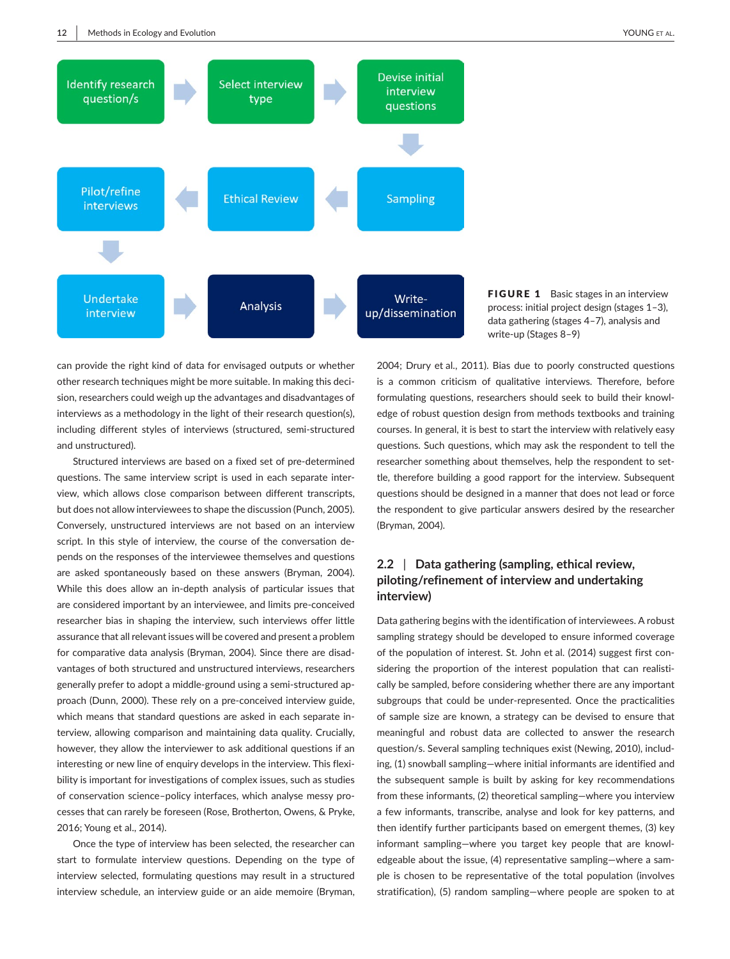

FIGURE 1 Basic stages in an interview process: initial project design (stages 1–3), data gathering (stages 4–7), analysis and write-up (Stages 8–9)

can provide the right kind of data for envisaged outputs or whether other research techniques might be more suitable. In making this decision, researchers could weigh up the advantages and disadvantages of interviews as a methodology in the light of their research question(s), including different styles of interviews (structured, semi-structured and unstructured).

Structured interviews are based on a fixed set of pre-determined questions. The same interview script is used in each separate interview, which allows close comparison between different transcripts, but does not allow interviewees to shape the discussion (Punch, 2005). Conversely, unstructured interviews are not based on an interview script. In this style of interview, the course of the conversation depends on the responses of the interviewee themselves and questions are asked spontaneously based on these answers (Bryman, 2004). While this does allow an in-depth analysis of particular issues that are considered important by an interviewee, and limits pre-conceived researcher bias in shaping the interview, such interviews offer little assurance that all relevant issues will be covered and present a problem for comparative data analysis (Bryman, 2004). Since there are disadvantages of both structured and unstructured interviews, researchers generally prefer to adopt a middle-ground using a semi-structured approach (Dunn, 2000). These rely on a pre-conceived interview guide, which means that standard questions are asked in each separate interview, allowing comparison and maintaining data quality. Crucially, however, they allow the interviewer to ask additional questions if an interesting or new line of enquiry develops in the interview. This flexibility is important for investigations of complex issues, such as studies of conservation science–policy interfaces, which analyse messy processes that can rarely be foreseen (Rose, Brotherton, Owens, & Pryke, 2016; Young et al., 2014).

Once the type of interview has been selected, the researcher can start to formulate interview questions. Depending on the type of interview selected, formulating questions may result in a structured interview schedule, an interview guide or an aide memoire (Bryman,

2004; Drury et al., 2011). Bias due to poorly constructed questions is a common criticism of qualitative interviews. Therefore, before formulating questions, researchers should seek to build their knowledge of robust question design from methods textbooks and training courses. In general, it is best to start the interview with relatively easy questions. Such questions, which may ask the respondent to tell the researcher something about themselves, help the respondent to settle, therefore building a good rapport for the interview. Subsequent questions should be designed in a manner that does not lead or force the respondent to give particular answers desired by the researcher (Bryman, 2004).

# **2.2** | **Data gathering (sampling, ethical review, piloting/refinement of interview and undertaking interview)**

Data gathering begins with the identification of interviewees. A robust sampling strategy should be developed to ensure informed coverage of the population of interest. St. John et al. (2014) suggest first considering the proportion of the interest population that can realistically be sampled, before considering whether there are any important subgroups that could be under-represented. Once the practicalities of sample size are known, a strategy can be devised to ensure that meaningful and robust data are collected to answer the research question/s. Several sampling techniques exist (Newing, 2010), including, (1) snowball sampling—where initial informants are identified and the subsequent sample is built by asking for key recommendations from these informants, (2) theoretical sampling—where you interview a few informants, transcribe, analyse and look for key patterns, and then identify further participants based on emergent themes, (3) key informant sampling—where you target key people that are knowledgeable about the issue, (4) representative sampling—where a sample is chosen to be representative of the total population (involves stratification), (5) random sampling—where people are spoken to at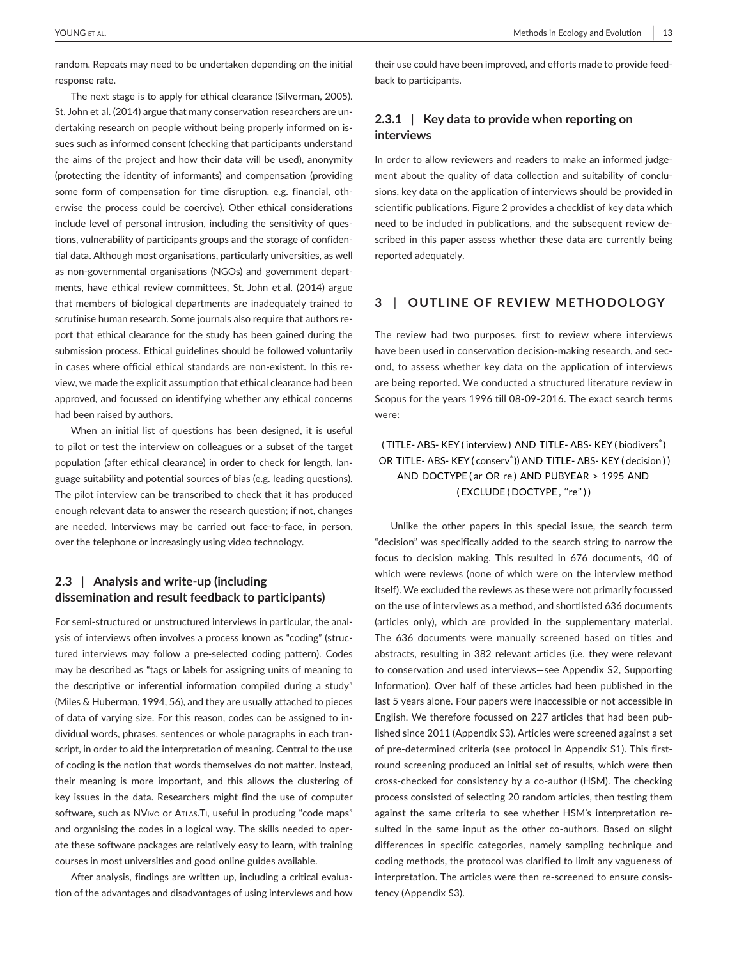random. Repeats may need to be undertaken depending on the initial response rate.

The next stage is to apply for ethical clearance (Silverman, 2005). St. John et al. (2014) argue that many conservation researchers are undertaking research on people without being properly informed on issues such as informed consent (checking that participants understand the aims of the project and how their data will be used), anonymity (protecting the identity of informants) and compensation (providing some form of compensation for time disruption, e.g. financial, otherwise the process could be coercive). Other ethical considerations include level of personal intrusion, including the sensitivity of questions, vulnerability of participants groups and the storage of confidential data. Although most organisations, particularly universities, as well as non-governmental organisations (NGOs) and government departments, have ethical review committees, St. John et al. (2014) argue that members of biological departments are inadequately trained to scrutinise human research. Some journals also require that authors report that ethical clearance for the study has been gained during the submission process. Ethical guidelines should be followed voluntarily in cases where official ethical standards are non-existent. In this review, we made the explicit assumption that ethical clearance had been approved, and focussed on identifying whether any ethical concerns had been raised by authors.

When an initial list of questions has been designed, it is useful to pilot or test the interview on colleagues or a subset of the target population (after ethical clearance) in order to check for length, language suitability and potential sources of bias (e.g. leading questions). The pilot interview can be transcribed to check that it has produced enough relevant data to answer the research question; if not, changes are needed. Interviews may be carried out face-to-face, in person, over the telephone or increasingly using video technology.

### **2.3** | **Analysis and write-up (including dissemination and result feedback to participants)**

For semi-structured or unstructured interviews in particular, the analysis of interviews often involves a process known as "coding" (structured interviews may follow a pre-selected coding pattern). Codes may be described as "tags or labels for assigning units of meaning to the descriptive or inferential information compiled during a study" (Miles & Huberman, 1994, 56), and they are usually attached to pieces of data of varying size. For this reason, codes can be assigned to individual words, phrases, sentences or whole paragraphs in each transcript, in order to aid the interpretation of meaning. Central to the use of coding is the notion that words themselves do not matter. Instead, their meaning is more important, and this allows the clustering of key issues in the data. Researchers might find the use of computer software, such as NVIvo or ATLAS. TI, useful in producing "code maps" and organising the codes in a logical way. The skills needed to operate these software packages are relatively easy to learn, with training courses in most universities and good online guides available.

After analysis, findings are written up, including a critical evaluation of the advantages and disadvantages of using interviews and how their use could have been improved, and efforts made to provide feedback to participants.

### **2.3.1** | **Key data to provide when reporting on interviews**

In order to allow reviewers and readers to make an informed judgement about the quality of data collection and suitability of conclusions, key data on the application of interviews should be provided in scientific publications. Figure 2 provides a checklist of key data which need to be included in publications, and the subsequent review described in this paper assess whether these data are currently being reported adequately.

# **3** | **OUTLINE OF REVIEW METHODOLOGY**

The review had two purposes, first to review where interviews have been used in conservation decision-making research, and second, to assess whether key data on the application of interviews are being reported. We conducted a structured literature review in Scopus for the years 1996 till 08-09-2016. The exact search terms were:

# (TITLE- ABS- KEY (interview) AND TITLE- ABS- KEY (biodivers<sup>\*</sup>) OR TITLE- ABS- KEY ( conserv<sup>\*</sup>)) AND TITLE- ABS- KEY ( decision ) ) AND DOCTYPE ( ar OR re ) AND PUBYEAR > 1995 AND (EXCLUDE (DOCTYPE, "re"))

Unlike the other papers in this special issue, the search term "decision" was specifically added to the search string to narrow the focus to decision making. This resulted in 676 documents, 40 of which were reviews (none of which were on the interview method itself). We excluded the reviews as these were not primarily focussed on the use of interviews as a method, and shortlisted 636 documents (articles only), which are provided in the supplementary material. The 636 documents were manually screened based on titles and abstracts, resulting in 382 relevant articles (i.e. they were relevant to conservation and used interviews—see Appendix S2, Supporting Information). Over half of these articles had been published in the last 5 years alone. Four papers were inaccessible or not accessible in English. We therefore focussed on 227 articles that had been published since 2011 (Appendix S3). Articles were screened against a set of pre-determined criteria (see protocol in Appendix S1). This firstround screening produced an initial set of results, which were then cross-checked for consistency by a co-author (HSM). The checking process consisted of selecting 20 random articles, then testing them against the same criteria to see whether HSM's interpretation resulted in the same input as the other co-authors. Based on slight differences in specific categories, namely sampling technique and coding methods, the protocol was clarified to limit any vagueness of interpretation. The articles were then re-screened to ensure consistency (Appendix S3).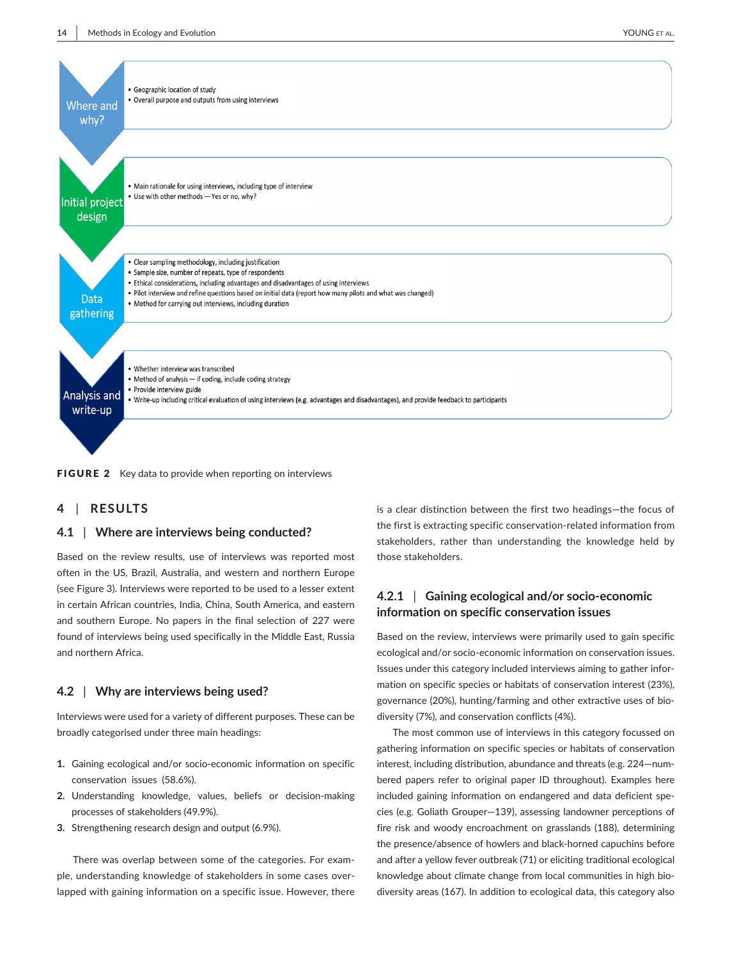

FIGURE 2 Key data to provide when reporting on interviews

#### **4** | **RESULTS**

#### **4.1** | **Where are interviews being conducted?**

Based on the review results, use of interviews was reported most often in the US, Brazil, Australia, and western and northern Europe (see Figure 3). Interviews were reported to be used to a lesser extent in certain African countries, India, China, South America, and eastern and southern Europe. No papers in the final selection of 227 were found of interviews being used specifically in the Middle East, Russia and northern Africa.

#### **4.2** | **Why are interviews being used?**

Interviews were used for a variety of different purposes. These can be broadly categorised under three main headings:

- **1.** Gaining ecological and/or socio-economic information on specific conservation issues (58.6%).
- **2.** Understanding knowledge, values, beliefs or decision-making processes of stakeholders (49.9%).
- **3.** Strengthening research design and output (6.9%).

There was overlap between some of the categories. For example, understanding knowledge of stakeholders in some cases overlapped with gaining information on a specific issue. However, there is a clear distinction between the first two headings—the focus of the first is extracting specific conservation-related information from stakeholders, rather than understanding the knowledge held by those stakeholders.

# **4.2.1** | **Gaining ecological and/or socio-economic information on specific conservation issues**

Based on the review, interviews were primarily used to gain specific ecological and/or socio-economic information on conservation issues. Issues under this category included interviews aiming to gather information on specific species or habitats of conservation interest (23%), governance (20%), hunting/farming and other extractive uses of biodiversity (7%), and conservation conflicts (4%).

The most common use of interviews in this category focussed on gathering information on specific species or habitats of conservation interest, including distribution, abundance and threats (e.g. 224—numbered papers refer to original paper ID throughout). Examples here included gaining information on endangered and data deficient species (e.g. Goliath Grouper—139), assessing landowner perceptions of fire risk and woody encroachment on grasslands (188), determining the presence/absence of howlers and black-horned capuchins before and after a yellow fever outbreak (71) or eliciting traditional ecological knowledge about climate change from local communities in high biodiversity areas (167). In addition to ecological data, this category also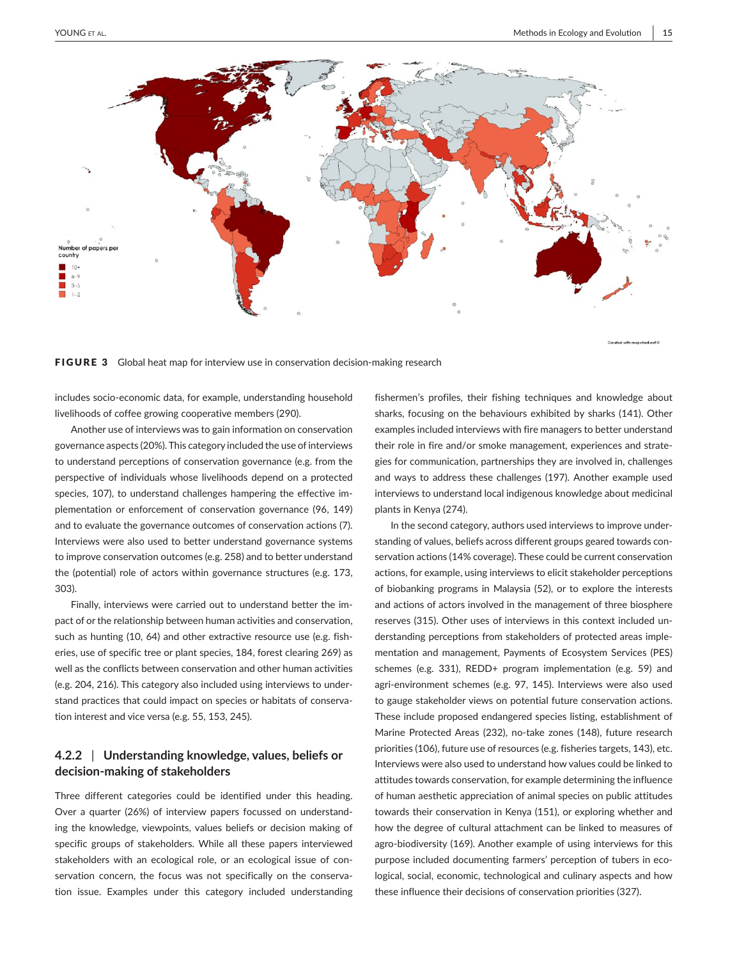

FIGURE 3 Global heat map for interview use in conservation decision-making research

includes socio-economic data, for example, understanding household livelihoods of coffee growing cooperative members (290).

Another use of interviews was to gain information on conservation governance aspects (20%). This category included the use of interviews to understand perceptions of conservation governance (e.g. from the perspective of individuals whose livelihoods depend on a protected species, 107), to understand challenges hampering the effective implementation or enforcement of conservation governance (96, 149) and to evaluate the governance outcomes of conservation actions (7). Interviews were also used to better understand governance systems to improve conservation outcomes (e.g. 258) and to better understand the (potential) role of actors within governance structures (e.g. 173, 303).

Finally, interviews were carried out to understand better the impact of or the relationship between human activities and conservation, such as hunting (10, 64) and other extractive resource use (e.g. fisheries, use of specific tree or plant species, 184, forest clearing 269) as well as the conflicts between conservation and other human activities (e.g. 204, 216). This category also included using interviews to understand practices that could impact on species or habitats of conservation interest and vice versa (e.g. 55, 153, 245).

# **4.2.2** | **Understanding knowledge, values, beliefs or decision-making of stakeholders**

Three different categories could be identified under this heading. Over a quarter (26%) of interview papers focussed on understanding the knowledge, viewpoints, values beliefs or decision making of specific groups of stakeholders. While all these papers interviewed stakeholders with an ecological role, or an ecological issue of conservation concern, the focus was not specifically on the conservation issue. Examples under this category included understanding

fishermen's profiles, their fishing techniques and knowledge about sharks, focusing on the behaviours exhibited by sharks (141). Other examples included interviews with fire managers to better understand their role in fire and/or smoke management, experiences and strategies for communication, partnerships they are involved in, challenges and ways to address these challenges (197). Another example used interviews to understand local indigenous knowledge about medicinal plants in Kenya (274).

In the second category, authors used interviews to improve understanding of values, beliefs across different groups geared towards conservation actions (14% coverage). These could be current conservation actions, for example, using interviews to elicit stakeholder perceptions of biobanking programs in Malaysia (52), or to explore the interests and actions of actors involved in the management of three biosphere reserves (315). Other uses of interviews in this context included understanding perceptions from stakeholders of protected areas implementation and management, Payments of Ecosystem Services (PES) schemes (e.g. 331), REDD+ program implementation (e.g. 59) and agri-environment schemes (e.g. 97, 145). Interviews were also used to gauge stakeholder views on potential future conservation actions. These include proposed endangered species listing, establishment of Marine Protected Areas (232), no-take zones (148), future research priorities (106), future use of resources (e.g. fisheries targets, 143), etc. Interviews were also used to understand how values could be linked to attitudes towards conservation, for example determining the influence of human aesthetic appreciation of animal species on public attitudes towards their conservation in Kenya (151), or exploring whether and how the degree of cultural attachment can be linked to measures of agro-biodiversity (169). Another example of using interviews for this purpose included documenting farmers' perception of tubers in ecological, social, economic, technological and culinary aspects and how these influence their decisions of conservation priorities (327).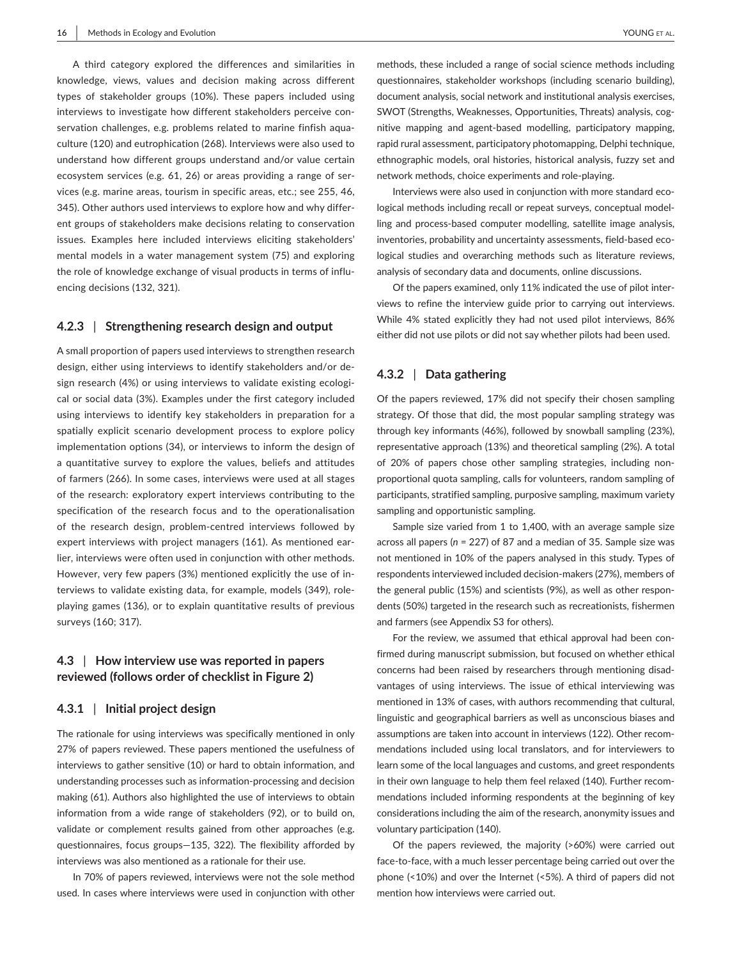A third category explored the differences and similarities in knowledge, views, values and decision making across different types of stakeholder groups (10%). These papers included using interviews to investigate how different stakeholders perceive conservation challenges, e.g. problems related to marine finfish aquaculture (120) and eutrophication (268). Interviews were also used to understand how different groups understand and/or value certain ecosystem services (e.g. 61, 26) or areas providing a range of services (e.g. marine areas, tourism in specific areas, etc.; see 255, 46, 345). Other authors used interviews to explore how and why different groups of stakeholders make decisions relating to conservation issues. Examples here included interviews eliciting stakeholders' mental models in a water management system (75) and exploring the role of knowledge exchange of visual products in terms of influencing decisions (132, 321).

### **4.2.3** | **Strengthening research design and output**

A small proportion of papers used interviews to strengthen research design, either using interviews to identify stakeholders and/or design research (4%) or using interviews to validate existing ecological or social data (3%). Examples under the first category included using interviews to identify key stakeholders in preparation for a spatially explicit scenario development process to explore policy implementation options (34), or interviews to inform the design of a quantitative survey to explore the values, beliefs and attitudes of farmers (266). In some cases, interviews were used at all stages of the research: exploratory expert interviews contributing to the specification of the research focus and to the operationalisation of the research design, problem-centred interviews followed by expert interviews with project managers (161). As mentioned earlier, interviews were often used in conjunction with other methods. However, very few papers (3%) mentioned explicitly the use of interviews to validate existing data, for example, models (349), roleplaying games (136), or to explain quantitative results of previous surveys (160; 317).

### **4.3** | **How interview use was reported in papers reviewed (follows order of checklist in Figure 2)**

#### **4.3.1** | **Initial project design**

The rationale for using interviews was specifically mentioned in only 27% of papers reviewed. These papers mentioned the usefulness of interviews to gather sensitive (10) or hard to obtain information, and understanding processes such as information-processing and decision making (61). Authors also highlighted the use of interviews to obtain information from a wide range of stakeholders (92), or to build on, validate or complement results gained from other approaches (e.g. questionnaires, focus groups—135, 322). The flexibility afforded by interviews was also mentioned as a rationale for their use.

In 70% of papers reviewed, interviews were not the sole method used. In cases where interviews were used in conjunction with other

methods, these included a range of social science methods including questionnaires, stakeholder workshops (including scenario building), document analysis, social network and institutional analysis exercises, SWOT (Strengths, Weaknesses, Opportunities, Threats) analysis, cognitive mapping and agent-based modelling, participatory mapping, rapid rural assessment, participatory photomapping, Delphi technique, ethnographic models, oral histories, historical analysis, fuzzy set and network methods, choice experiments and role-playing.

Interviews were also used in conjunction with more standard ecological methods including recall or repeat surveys, conceptual modelling and process-based computer modelling, satellite image analysis, inventories, probability and uncertainty assessments, field-based ecological studies and overarching methods such as literature reviews, analysis of secondary data and documents, online discussions.

Of the papers examined, only 11% indicated the use of pilot interviews to refine the interview guide prior to carrying out interviews. While 4% stated explicitly they had not used pilot interviews, 86% either did not use pilots or did not say whether pilots had been used.

#### **4.3.2** | **Data gathering**

Of the papers reviewed, 17% did not specify their chosen sampling strategy. Of those that did, the most popular sampling strategy was through key informants (46%), followed by snowball sampling (23%), representative approach (13%) and theoretical sampling (2%). A total of 20% of papers chose other sampling strategies, including nonproportional quota sampling, calls for volunteers, random sampling of participants, stratified sampling, purposive sampling, maximum variety sampling and opportunistic sampling.

Sample size varied from 1 to 1,400, with an average sample size across all papers (*n* = 227) of 87 and a median of 35. Sample size was not mentioned in 10% of the papers analysed in this study. Types of respondents interviewed included decision-makers (27%), members of the general public (15%) and scientists (9%), as well as other respondents (50%) targeted in the research such as recreationists, fishermen and farmers (see Appendix S3 for others).

For the review, we assumed that ethical approval had been confirmed during manuscript submission, but focused on whether ethical concerns had been raised by researchers through mentioning disadvantages of using interviews. The issue of ethical interviewing was mentioned in 13% of cases, with authors recommending that cultural, linguistic and geographical barriers as well as unconscious biases and assumptions are taken into account in interviews (122). Other recommendations included using local translators, and for interviewers to learn some of the local languages and customs, and greet respondents in their own language to help them feel relaxed (140). Further recommendations included informing respondents at the beginning of key considerations including the aim of the research, anonymity issues and voluntary participation (140).

Of the papers reviewed, the majority (>60%) were carried out face-to-face, with a much lesser percentage being carried out over the phone (<10%) and over the Internet (<5%). A third of papers did not mention how interviews were carried out.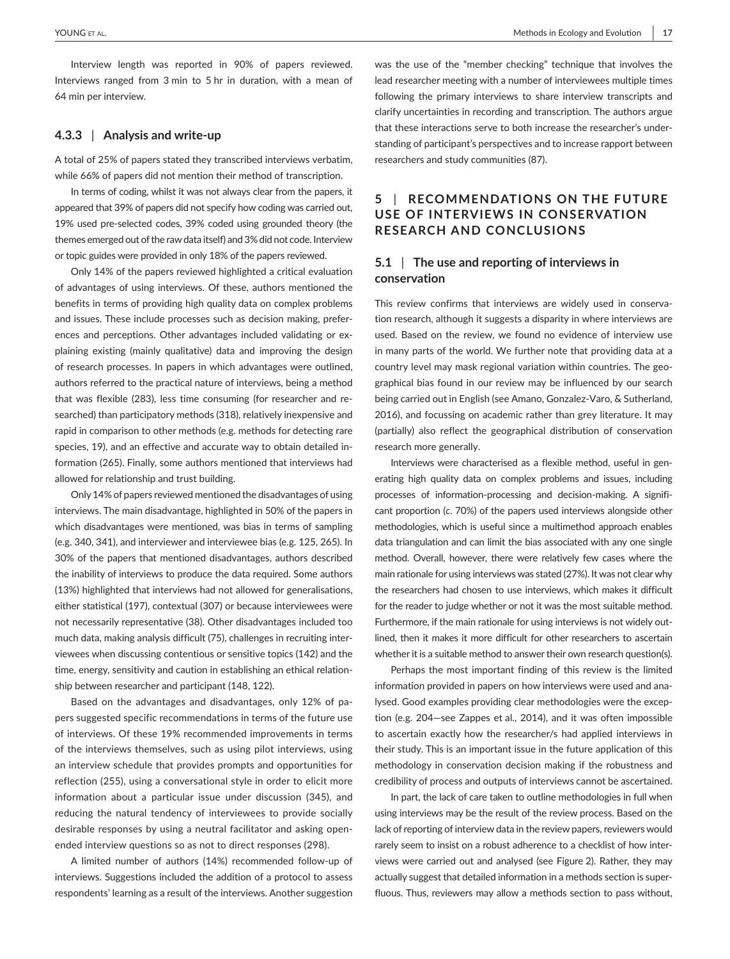Interview length was reported in 90% of papers reviewed. Interviews ranged from 3 min to 5 hr in duration, with a mean of 64 min per interview.

### **4.3.3** | **Analysis and write-up**

A total of 25% of papers stated they transcribed interviews verbatim, while 66% of papers did not mention their method of transcription.

In terms of coding, whilst it was not always clear from the papers, it appeared that 39% of papers did not specify how coding was carried out, 19% used pre-selected codes, 39% coded using grounded theory (the themes emerged out of the raw data itself) and 3% did not code. Interview or topic guides were provided in only 18% of the papers reviewed.

Only 14% of the papers reviewed highlighted a critical evaluation of advantages of using interviews. Of these, authors mentioned the benefits in terms of providing high quality data on complex problems and issues. These include processes such as decision making, preferences and perceptions. Other advantages included validating or explaining existing (mainly qualitative) data and improving the design of research processes. In papers in which advantages were outlined, authors referred to the practical nature of interviews, being a method that was flexible (283), less time consuming (for researcher and researched) than participatory methods (318), relatively inexpensive and rapid in comparison to other methods (e.g. methods for detecting rare species, 19), and an effective and accurate way to obtain detailed information (265). Finally, some authors mentioned that interviews had allowed for relationship and trust building.

Only 14% of papers reviewed mentioned the disadvantages of using interviews. The main disadvantage, highlighted in 50% of the papers in which disadvantages were mentioned, was bias in terms of sampling (e.g. 340, 341), and interviewer and interviewee bias (e.g. 125, 265). In 30% of the papers that mentioned disadvantages, authors described the inability of interviews to produce the data required. Some authors (13%) highlighted that interviews had not allowed for generalisations, either statistical (197), contextual (307) or because interviewees were not necessarily representative (38). Other disadvantages included too much data, making analysis difficult (75), challenges in recruiting interviewees when discussing contentious or sensitive topics (142) and the time, energy, sensitivity and caution in establishing an ethical relationship between researcher and participant (148, 122).

Based on the advantages and disadvantages, only 12% of papers suggested specific recommendations in terms of the future use of interviews. Of these 19% recommended improvements in terms of the interviews themselves, such as using pilot interviews, using an interview schedule that provides prompts and opportunities for reflection (255), using a conversational style in order to elicit more information about a particular issue under discussion (345), and reducing the natural tendency of interviewees to provide socially desirable responses by using a neutral facilitator and asking openended interview questions so as not to direct responses (298).

A limited number of authors (14%) recommended follow-up of interviews. Suggestions included the addition of a protocol to assess respondents' learning as a result of the interviews. Another suggestion

was the use of the "member checking" technique that involves the lead researcher meeting with a number of interviewees multiple times following the primary interviews to share interview transcripts and clarify uncertainties in recording and transcription. The authors argue that these interactions serve to both increase the researcher's understanding of participant's perspectives and to increase rapport between researchers and study communities (87).

# **5** | **RECOMMENDATIONS ON THE FUTURE USE OF INTERVIEWS IN CONSERVATION RESEARCH AND CONCLUSIONS**

### **5.1** | **The use and reporting of interviews in conservation**

This review confirms that interviews are widely used in conservation research, although it suggests a disparity in where interviews are used. Based on the review, we found no evidence of interview use in many parts of the world. We further note that providing data at a country level may mask regional variation within countries. The geographical bias found in our review may be influenced by our search being carried out in English (see Amano, Gonzalez-Varo, & Sutherland, 2016), and focussing on academic rather than grey literature. It may (partially) also reflect the geographical distribution of conservation research more generally.

Interviews were characterised as a flexible method, useful in generating high quality data on complex problems and issues, including processes of information-processing and decision-making. A significant proportion (*c*. 70%) of the papers used interviews alongside other methodologies, which is useful since a multimethod approach enables data triangulation and can limit the bias associated with any one single method. Overall, however, there were relatively few cases where the main rationale for using interviews was stated (27%). It was not clear why the researchers had chosen to use interviews, which makes it difficult for the reader to judge whether or not it was the most suitable method. Furthermore, if the main rationale for using interviews is not widely outlined, then it makes it more difficult for other researchers to ascertain whether it is a suitable method to answer their own research question(s).

Perhaps the most important finding of this review is the limited information provided in papers on how interviews were used and analysed. Good examples providing clear methodologies were the exception (e.g. 204—see Zappes et al., 2014), and it was often impossible to ascertain exactly how the researcher/s had applied interviews in their study. This is an important issue in the future application of this methodology in conservation decision making if the robustness and credibility of process and outputs of interviews cannot be ascertained.

In part, the lack of care taken to outline methodologies in full when using interviews may be the result of the review process. Based on the lack of reporting of interview data in the review papers, reviewers would rarely seem to insist on a robust adherence to a checklist of how interviews were carried out and analysed (see Figure 2). Rather, they may actually suggest that detailed information in a methods section is superfluous. Thus, reviewers may allow a methods section to pass without,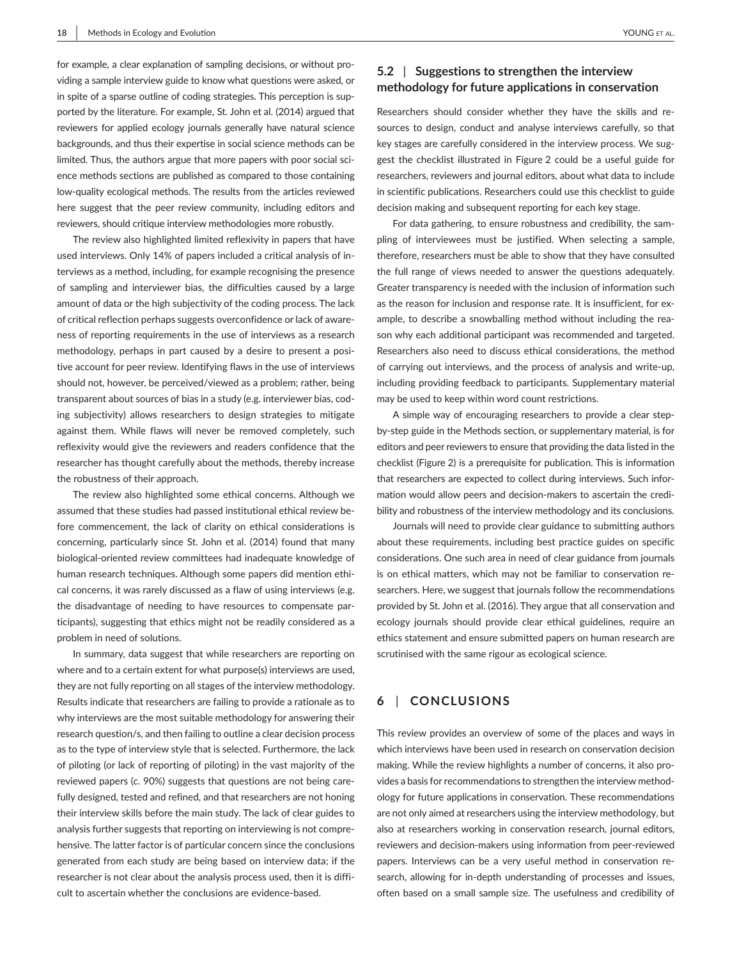for example, a clear explanation of sampling decisions, or without providing a sample interview guide to know what questions were asked, or in spite of a sparse outline of coding strategies. This perception is supported by the literature. For example, St. John et al. (2014) argued that reviewers for applied ecology journals generally have natural science backgrounds, and thus their expertise in social science methods can be limited. Thus, the authors argue that more papers with poor social science methods sections are published as compared to those containing low-quality ecological methods. The results from the articles reviewed here suggest that the peer review community, including editors and reviewers, should critique interview methodologies more robustly.

The review also highlighted limited reflexivity in papers that have used interviews. Only 14% of papers included a critical analysis of interviews as a method, including, for example recognising the presence of sampling and interviewer bias, the difficulties caused by a large amount of data or the high subjectivity of the coding process. The lack of critical reflection perhaps suggests overconfidence or lack of awareness of reporting requirements in the use of interviews as a research methodology, perhaps in part caused by a desire to present a positive account for peer review. Identifying flaws in the use of interviews should not, however, be perceived/viewed as a problem; rather, being transparent about sources of bias in a study (e.g. interviewer bias, coding subjectivity) allows researchers to design strategies to mitigate against them. While flaws will never be removed completely, such reflexivity would give the reviewers and readers confidence that the researcher has thought carefully about the methods, thereby increase the robustness of their approach.

The review also highlighted some ethical concerns. Although we assumed that these studies had passed institutional ethical review before commencement, the lack of clarity on ethical considerations is concerning, particularly since St. John et al. (2014) found that many biological-oriented review committees had inadequate knowledge of human research techniques. Although some papers did mention ethical concerns, it was rarely discussed as a flaw of using interviews (e.g. the disadvantage of needing to have resources to compensate participants), suggesting that ethics might not be readily considered as a problem in need of solutions.

In summary, data suggest that while researchers are reporting on where and to a certain extent for what purpose(s) interviews are used, they are not fully reporting on all stages of the interview methodology. Results indicate that researchers are failing to provide a rationale as to why interviews are the most suitable methodology for answering their research question/s, and then failing to outline a clear decision process as to the type of interview style that is selected. Furthermore, the lack of piloting (or lack of reporting of piloting) in the vast majority of the reviewed papers (*c*. 90%) suggests that questions are not being carefully designed, tested and refined, and that researchers are not honing their interview skills before the main study. The lack of clear guides to analysis further suggests that reporting on interviewing is not comprehensive. The latter factor is of particular concern since the conclusions generated from each study are being based on interview data; if the researcher is not clear about the analysis process used, then it is difficult to ascertain whether the conclusions are evidence-based.

### **5.2** | **Suggestions to strengthen the interview methodology for future applications in conservation**

Researchers should consider whether they have the skills and resources to design, conduct and analyse interviews carefully, so that key stages are carefully considered in the interview process. We suggest the checklist illustrated in Figure 2 could be a useful guide for researchers, reviewers and journal editors, about what data to include in scientific publications. Researchers could use this checklist to guide decision making and subsequent reporting for each key stage.

For data gathering, to ensure robustness and credibility, the sampling of interviewees must be justified. When selecting a sample, therefore, researchers must be able to show that they have consulted the full range of views needed to answer the questions adequately. Greater transparency is needed with the inclusion of information such as the reason for inclusion and response rate. It is insufficient, for example, to describe a snowballing method without including the reason why each additional participant was recommended and targeted. Researchers also need to discuss ethical considerations, the method of carrying out interviews, and the process of analysis and write-up, including providing feedback to participants. Supplementary material may be used to keep within word count restrictions.

A simple way of encouraging researchers to provide a clear stepby-step guide in the Methods section, or supplementary material, is for editors and peer reviewers to ensure that providing the data listed in the checklist (Figure 2) is a prerequisite for publication. This is information that researchers are expected to collect during interviews. Such information would allow peers and decision-makers to ascertain the credibility and robustness of the interview methodology and its conclusions.

Journals will need to provide clear guidance to submitting authors about these requirements, including best practice guides on specific considerations. One such area in need of clear guidance from journals is on ethical matters, which may not be familiar to conservation researchers. Here, we suggest that journals follow the recommendations provided by St. John et al. (2016). They argue that all conservation and ecology journals should provide clear ethical guidelines, require an ethics statement and ensure submitted papers on human research are scrutinised with the same rigour as ecological science.

# **6** | **CONCLUSIONS**

This review provides an overview of some of the places and ways in which interviews have been used in research on conservation decision making. While the review highlights a number of concerns, it also provides a basis for recommendations to strengthen the interview methodology for future applications in conservation. These recommendations are not only aimed at researchers using the interview methodology, but also at researchers working in conservation research, journal editors, reviewers and decision-makers using information from peer-reviewed papers. Interviews can be a very useful method in conservation research, allowing for in-depth understanding of processes and issues, often based on a small sample size. The usefulness and credibility of